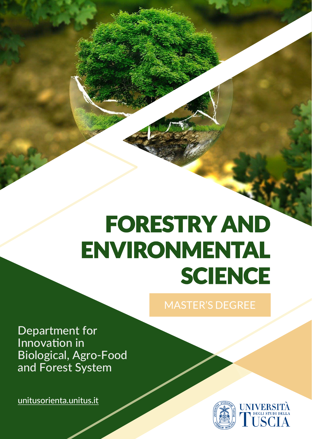## FORESTRY AND ENVIRONMENTAL **SCIENCE**

Department for Innovation in Biological, Agro-Food and Forest System

[unitusorienta.unitus.it](http://unitusorienta.unitus.it/?utm_source=flyer&utm_medium=post)